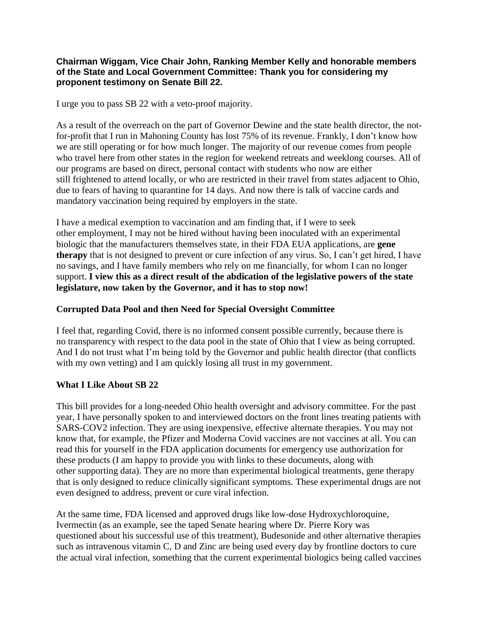## **Chairman Wiggam, Vice Chair John, Ranking Member Kelly and honorable members of the State and Local Government Committee: Thank you for considering my proponent testimony on Senate Bill 22.**

I urge you to pass SB 22 with a veto-proof majority.

As a result of the overreach on the part of Governor Dewine and the state health director, the notfor-profit that I run in Mahoning County has lost 75% of its revenue. Frankly, I don't know how we are still operating or for how much longer. The majority of our revenue comes from people who travel here from other states in the region for weekend retreats and weeklong courses. All of our programs are based on direct, personal contact with students who now are either still frightened to attend locally, or who are restricted in their travel from states adjacent to Ohio, due to fears of having to quarantine for 14 days. And now there is talk of vaccine cards and mandatory vaccination being required by employers in the state.

I have a medical exemption to vaccination and am finding that, if I were to seek other employment, I may not be hired without having been inoculated with an experimental biologic that the manufacturers themselves state, in their FDA EUA applications, are **gene therapy** that is not designed to prevent or cure infection of any virus. So, I can't get hired, I have no savings, and I have family members who rely on me financially, for whom I can no longer support. **I view this as a direct result of the abdication of the legislative powers of the state legislature, now taken by the Governor, and it has to stop now!**

## **Corrupted Data Pool and then Need for Special Oversight Committee**

I feel that, regarding Covid, there is no informed consent possible currently, because there is no transparency with respect to the data pool in the state of Ohio that I view as being corrupted. And I do not trust what I'm being told by the Governor and public health director (that conflicts with my own vetting) and I am quickly losing all trust in my government.

## **What I Like About SB 22**

This bill provides for a long-needed Ohio health oversight and advisory committee. For the past year, I have personally spoken to and interviewed doctors on the front lines treating patients with SARS-COV2 infection. They are using inexpensive, effective alternate therapies. You may not know that, for example, the Pfizer and Moderna Covid vaccines are not vaccines at all. You can read this for yourself in the FDA application documents for emergency use authorization for these products (I am happy to provide you with links to these documents, along with other supporting data). They are no more than experimental biological treatments, gene therapy that is only designed to reduce clinically significant symptoms. These experimental drugs are not even designed to address, prevent or cure viral infection.

At the same time, FDA licensed and approved drugs like low-dose Hydroxychloroquine, Ivermectin (as an example, see the taped Senate hearing where Dr. Pierre Kory was questioned about his successful use of this treatment), Budesonide and other alternative therapies such as intravenous vitamin C, D and Zinc are being used every day by frontline doctors to cure the actual viral infection, something that the current experimental biologics being called vaccines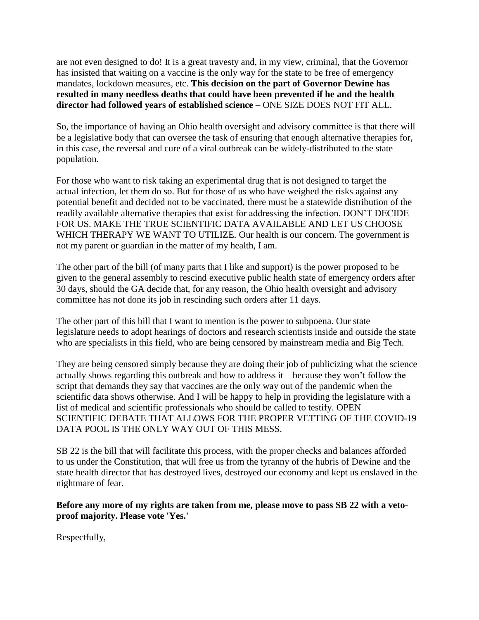are not even designed to do! It is a great travesty and, in my view, criminal, that the Governor has insisted that waiting on a vaccine is the only way for the state to be free of emergency mandates, lockdown measures, etc. **This decision on the part of Governor Dewine has resulted in many needless deaths that could have been prevented if he and the health director had followed years of established science** – ONE SIZE DOES NOT FIT ALL.

So, the importance of having an Ohio health oversight and advisory committee is that there will be a legislative body that can oversee the task of ensuring that enough alternative therapies for, in this case, the reversal and cure of a viral outbreak can be widely-distributed to the state population.

For those who want to risk taking an experimental drug that is not designed to target the actual infection, let them do so. But for those of us who have weighed the risks against any potential benefit and decided not to be vaccinated, there must be a statewide distribution of the readily available alternative therapies that exist for addressing the infection. DON'T DECIDE FOR US. MAKE THE TRUE SCIENTIFIC DATA AVAILABLE AND LET US CHOOSE WHICH THERAPY WE WANT TO UTILIZE. Our health is our concern. The government is not my parent or guardian in the matter of my health, I am.

The other part of the bill (of many parts that I like and support) is the power proposed to be given to the general assembly to rescind executive public health state of emergency orders after 30 days, should the GA decide that, for any reason, the Ohio health oversight and advisory committee has not done its job in rescinding such orders after 11 days.

The other part of this bill that I want to mention is the power to subpoena. Our state legislature needs to adopt hearings of doctors and research scientists inside and outside the state who are specialists in this field, who are being censored by mainstream media and Big Tech.

They are being censored simply because they are doing their job of publicizing what the science actually shows regarding this outbreak and how to address it – because they won't follow the script that demands they say that vaccines are the only way out of the pandemic when the scientific data shows otherwise. And I will be happy to help in providing the legislature with a list of medical and scientific professionals who should be called to testify. OPEN SCIENTIFIC DEBATE THAT ALLOWS FOR THE PROPER VETTING OF THE COVID-19 DATA POOL IS THE ONLY WAY OUT OF THIS MESS.

SB 22 is the bill that will facilitate this process, with the proper checks and balances afforded to us under the Constitution, that will free us from the tyranny of the hubris of Dewine and the state health director that has destroyed lives, destroyed our economy and kept us enslaved in the nightmare of fear.

**Before any more of my rights are taken from me, please move to pass SB 22 with a vetoproof majority. Please vote 'Yes.'**

Respectfully,